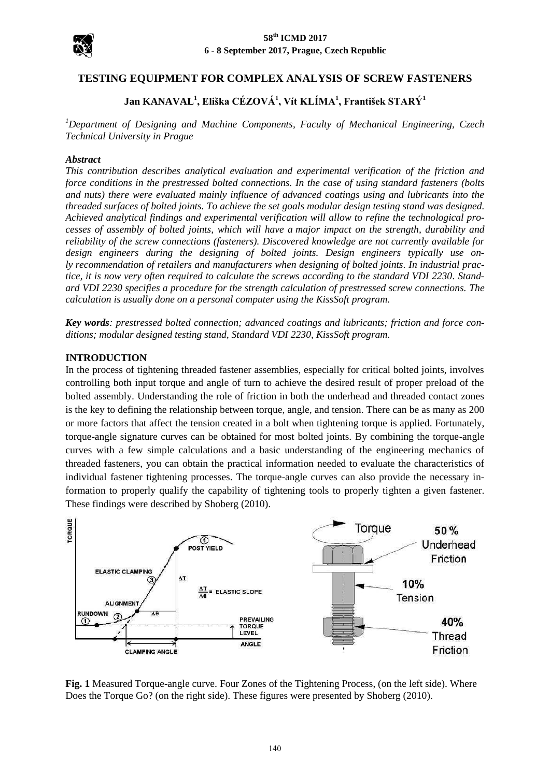

# **TESTING EQUIPMENT FOR COMPLEX ANALYSIS OF SCREW FASTENERS**

# **Jan KANAVAL<sup>1</sup> , Eliška CÉZOVÁ<sup>1</sup> , Vít KLÍMA<sup>1</sup> , František STARÝ<sup>1</sup>**

*<sup>1</sup>Department of Designing and Machine Components, Faculty of Mechanical Engineering, Czech Technical University in Prague*

#### *Abstract*

*This contribution describes analytical evaluation and experimental verification of the friction and force conditions in the prestressed bolted connections. In the case of using standard fasteners (bolts and nuts) there were evaluated mainly influence of advanced coatings using and lubricants into the threaded surfaces of bolted joints. To achieve the set goals modular design testing stand was designed. Achieved analytical findings and experimental verification will allow to refine the technological processes of assembly of bolted joints, which will have a major impact on the strength, durability and reliability of the screw connections (fasteners). Discovered knowledge are not currently available for design engineers during the designing of bolted joints. Design engineers typically use only recommendation of retailers and manufacturers when designing of bolted joints. In industrial practice, it is now very often required to calculate the screws according to the standard VDI 2230. Standard VDI 2230 specifies a procedure for the strength calculation of prestressed screw connections. The calculation is usually done on a personal computer using the KissSoft program.*

*Key words: prestressed bolted connection; advanced coatings and lubricants; friction and force conditions; modular designed testing stand, Standard VDI 2230, KissSoft program.*

#### **INTRODUCTION**

In the process of tightening threaded fastener assemblies, especially for critical bolted joints, involves controlling both input torque and angle of turn to achieve the desired result of proper preload of the bolted assembly. Understanding the role of friction in both the underhead and threaded contact zones is the key to defining the relationship between torque, angle, and tension. There can be as many as 200 or more factors that affect the tension created in a bolt when tightening torque is applied. Fortunately, torque-angle signature curves can be obtained for most bolted joints. By combining the torque-angle curves with a few simple calculations and a basic understanding of the engineering mechanics of threaded fasteners, you can obtain the practical information needed to evaluate the characteristics of individual fastener tightening processes. The torque-angle curves can also provide the necessary information to properly qualify the capability of tightening tools to properly tighten a given fastener. These findings were described by Shoberg (2010).



**Fig. 1** Measured Torque-angle curve. Four Zones of the Tightening Process, (on the left side). Where Does the Torque Go? (on the right side). These figures were presented by Shoberg (2010).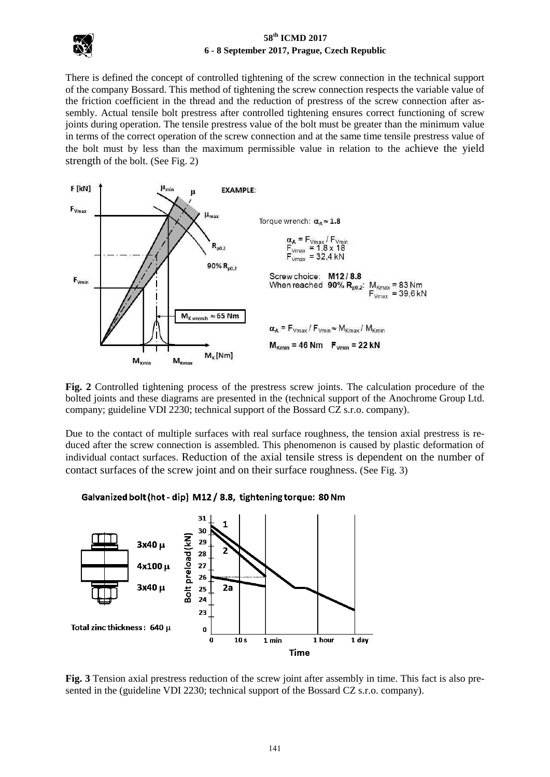

There is defined the concept of controlled tightening of the screw connection in the technical support of the company Bossard. This method of tightening the screw connection respects the variable value of the friction coefficient in the thread and the reduction of prestress of the screw connection after assembly. Actual tensile bolt prestress after controlled tightening ensures correct functioning of screw joints during operation. The tensile prestress value of the bolt must be greater than the minimum value in terms of the correct operation of the screw connection and at the same time tensile prestress value of the bolt must by less than the maximum permissible value in relation to the achieve the yield strength of the bolt. (See Fig. 2)



**Fig. 2** Controlled tightening process of the prestress screw joints. The calculation procedure of the bolted joints and these diagrams are presented in the (technical support of the Anochrome Group Ltd. company; guideline VDI 2230; technical support of the Bossard CZ s.r.o. company).

Due to the contact of multiple surfaces with real surface roughness, the tension axial prestress is reduced after the screw connection is assembled. This phenomenon is caused by plastic deformation of individual contact surfaces. Reduction of the axial tensile stress is dependent on the number of contact surfaces of the screw joint and on their surface roughness. (See Fig. 3)

## Galvanized bolt (hot - dip) M12 / 8.8, tightening torque: 80 Nm



**Fig. 3** Tension axial prestress reduction of the screw joint after assembly in time. This fact is also presented in the (guideline VDI 2230; technical support of the Bossard CZ s.r.o. company).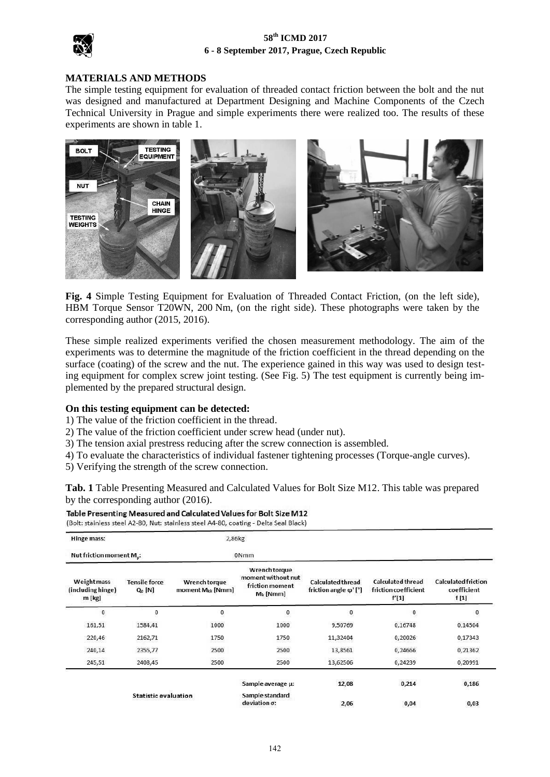

## **MATERIALS AND METHODS**

The simple testing equipment for evaluation of threaded contact friction between the bolt and the nut was designed and manufactured at Department Designing and Machine Components of the Czech Technical University in Prague and simple experiments there were realized too. The results of these experiments are shown in table 1.



**Fig. 4** Simple Testing Equipment for Evaluation of Threaded Contact Friction, (on the left side), HBM Torque Sensor T20WN, 200 Nm, (on the right side). These photographs were taken by the corresponding author (2015, 2016).

These simple realized experiments verified the chosen measurement methodology. The aim of the experiments was to determine the magnitude of the friction coefficient in the thread depending on the surface (coating) of the screw and the nut. The experience gained in this way was used to design testing equipment for complex screw joint testing. (See Fig. 5) The test equipment is currently being implemented by the prepared structural design.

#### **On this testing equipment can be detected:**

1) The value of the friction coefficient in the thread.

- 2) The value of the friction coefficient under screw head (under nut).
- 3) The tension axial prestress reducing after the screw connection is assembled.
- 4) To evaluate the characteristics of individual fastener tightening processes (Torque-angle curves).
- 5) Verifying the strength of the screw connection.

**Tab. 1** Table Presenting Measured and Calculated Values for Bolt Size M12. This table was prepared by the corresponding author (2016).

Table Presenting Measured and Calculated Values for Bolt Size M12

| (Bolt: stainless steel A2-80, Nut: stainless steel A4-80, coating - Delta Seal Black) |  |  |  |  |  |  |
|---------------------------------------------------------------------------------------|--|--|--|--|--|--|
|---------------------------------------------------------------------------------------|--|--|--|--|--|--|

| Hinge mass:                                       |                                   | 2,86kg                                        |                                                                       |                                                  |                                                    |                                                   |
|---------------------------------------------------|-----------------------------------|-----------------------------------------------|-----------------------------------------------------------------------|--------------------------------------------------|----------------------------------------------------|---------------------------------------------------|
| Nut friction moment M <sub>n</sub> :              |                                   | 0 <sub>Nmm</sub>                              |                                                                       |                                                  |                                                    |                                                   |
| <b>Weight mass</b><br>(including hinge)<br>m [kg] | <b>Tensile force</b><br>$Q_0$ [N] | Wrench torque<br>moment M <sub>kk</sub> [Nmm] | Wrench torque<br>moment without nut<br>friction moment<br>$M_k$ [Nmm] | <b>Calculated thread</b><br>friction angle φ'[°] | Calculated thread<br>friction coefficient<br>f'[1] | <b>Calculated friction</b><br>coefficient<br>f[1] |
| $\mathbf{0}$                                      | 0                                 | $\mathbf{0}$                                  | $\bf{0}$                                                              | $\bf{0}$                                         | $\bf{0}$                                           | 0                                                 |
| 161,51                                            | 1584,41                           | 1000                                          | 1000                                                                  | 9,50769                                          | 0,16748                                            | 0,14504                                           |
| 220,46                                            | 2162,71                           | 1750                                          | 1750                                                                  | 11,32404                                         | 0,20026                                            | 0,17343                                           |
| 240,14                                            | 2355,77                           | 2500                                          | 2500                                                                  | 13,8561                                          | 0,24666                                            | 0,21362                                           |
| 245,51                                            | 2408,45                           | 2500                                          | 2500                                                                  | 13,62506                                         | 0,24239                                            | 0,20991                                           |
|                                                   |                                   |                                               | Sample average µ:                                                     | 12,08                                            | 0,214                                              | 1500000000<br>0,186                               |
| <b>Statistic evaluation</b>                       |                                   | Sample standard<br>deviation o:               | 2,06                                                                  | 0,04                                             | 0,03                                               |                                                   |